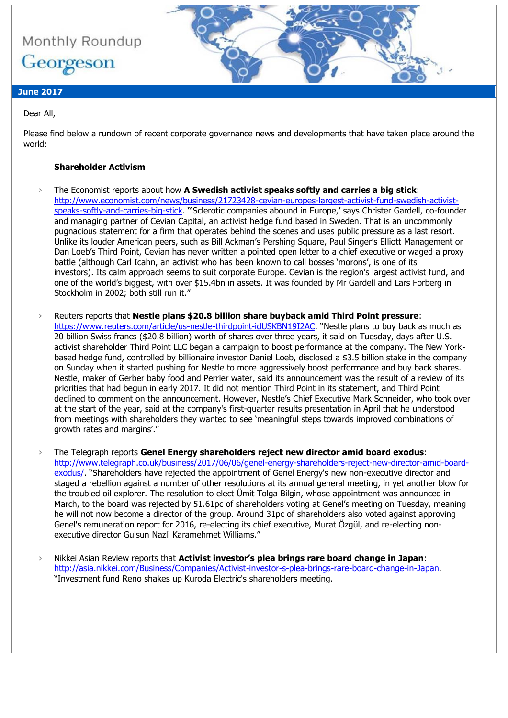

# **June 2017**

### Dear All,

Please find below a rundown of recent corporate governance news and developments that have taken place around the world:

### **Shareholder Activism**

- › The Economist reports about how **A Swedish activist speaks softly and carries a big stick**: [http://www.economist.com/news/business/21723428-cevian-europes-largest-activist-fund-swedish-activist](http://www.economist.com/news/business/21723428-cevian-europes-largest-activist-fund-swedish-activist-speaks-softly-and-carries-big-stick)[speaks-softly-and-carries-big-stick](http://www.economist.com/news/business/21723428-cevian-europes-largest-activist-fund-swedish-activist-speaks-softly-and-carries-big-stick). "'Sclerotic companies abound in Europe,' says Christer Gardell, co-founder and managing partner of Cevian Capital, an activist hedge fund based in Sweden. That is an uncommonly pugnacious statement for a firm that operates behind the scenes and uses public pressure as a last resort. Unlike its louder American peers, such as Bill Ackman's Pershing Square, Paul Singer's Elliott Management or Dan Loeb's Third Point, Cevian has never written a pointed open letter to a chief executive or waged a proxy battle (although Carl Icahn, an activist who has been known to call bosses 'morons', is one of its investors). Its calm approach seems to suit corporate Europe. Cevian is the region's largest activist fund, and one of the world's biggest, with over \$15.4bn in assets. It was founded by Mr Gardell and Lars Forberg in Stockholm in 2002; both still run it."
- › Reuters reports that **Nestle plans \$20.8 billion share buyback amid Third Point pressure**: <https://www.reuters.com/article/us-nestle-thirdpoint-idUSKBN19I2AC>. "Nestle plans to buy back as much as 20 billion Swiss francs (\$20.8 billion) worth of shares over three years, it said on Tuesday, days after U.S. activist shareholder Third Point LLC began a campaign to boost performance at the company. The New Yorkbased hedge fund, controlled by billionaire investor Daniel Loeb, disclosed a \$3.5 billion stake in the company on Sunday when it started pushing for Nestle to more aggressively boost performance and buy back shares. Nestle, maker of Gerber baby food and Perrier water, said its announcement was the result of a review of its priorities that had begun in early 2017. It did not mention Third Point in its statement, and Third Point declined to comment on the announcement. However, Nestle's Chief Executive Mark Schneider, who took over at the start of the year, said at the company's first-quarter results presentation in April that he understood from meetings with shareholders they wanted to see 'meaningful steps towards improved combinations of growth rates and margins'."
- › The Telegraph reports **Genel Energy shareholders reject new director amid board exodus**: [http://www.telegraph.co.uk/business/2017/06/06/genel-energy-shareholders-reject-new-director-amid-board](http://www.telegraph.co.uk/business/2017/06/06/genel-energy-shareholders-reject-new-director-amid-board-exodus/)[exodus/](http://www.telegraph.co.uk/business/2017/06/06/genel-energy-shareholders-reject-new-director-amid-board-exodus/). "Shareholders have rejected the appointment of Genel Energy's new non-executive director and staged a rebellion against a number of other resolutions at its annual general meeting, in yet another blow for the troubled oil explorer. The resolution to elect Ümit Tolga Bilgin, whose appointment was announced in March, to the board was rejected by 51.61pc of shareholders voting at Genel's meeting on Tuesday, meaning he will not now become a director of the group. Around 31pc of shareholders also voted against approving Genel's remuneration report for 2016, re-electing its chief executive, Murat Özgül, and re-electing nonexecutive director Gulsun Nazli Karamehmet Williams."
- › Nikkei Asian Review reports that **Activist investor's plea brings rare board change in Japan**: [http://asia.nikkei.com/Business/Companies/Activist-investor-s-plea-brings-rare-board-change-in-Japan.](http://asia.nikkei.com/Business/Companies/Activist-investor-s-plea-brings-rare-board-change-in-Japan) "Investment fund Reno shakes up Kuroda Electric's shareholders meeting.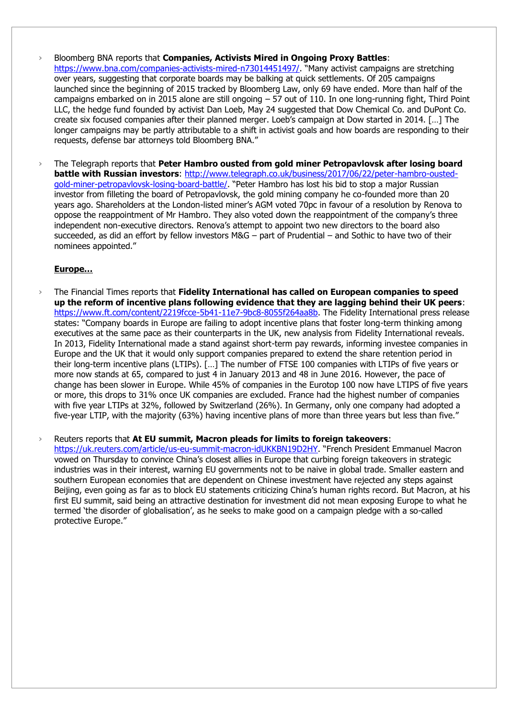- › Bloomberg BNA reports that **Companies, Activists Mired in Ongoing Proxy Battles**: <https://www.bna.com/companies-activists-mired-n73014451497/>. "Many activist campaigns are stretching over years, suggesting that corporate boards may be balking at quick settlements. Of 205 campaigns launched since the beginning of 2015 tracked by Bloomberg Law, only 69 have ended. More than half of the campaigns embarked on in 2015 alone are still ongoing – 57 out of 110. In one long-running fight, Third Point LLC, the hedge fund founded by activist Dan Loeb, May 24 suggested that Dow Chemical Co. and DuPont Co. create six focused companies after their planned merger. Loeb's campaign at Dow started in 2014. […] The longer campaigns may be partly attributable to a shift in activist goals and how boards are responding to their requests, defense bar attorneys told Bloomberg BNA."
- › The Telegraph reports that **Peter Hambro ousted from gold miner Petropavlovsk after losing board battle with Russian investors**: [http://www.telegraph.co.uk/business/2017/06/22/peter-hambro-ousted](http://www.telegraph.co.uk/business/2017/06/22/peter-hambro-ousted-gold-miner-petropavlovsk-losing-board-battle/)[gold-miner-petropavlovsk-losing-board-battle/](http://www.telegraph.co.uk/business/2017/06/22/peter-hambro-ousted-gold-miner-petropavlovsk-losing-board-battle/). "Peter Hambro has lost his bid to stop a major Russian investor from filleting the board of Petropavlovsk, the gold mining company he co-founded more than 20 years ago. Shareholders at the London-listed miner's AGM voted 70pc in favour of a resolution by Renova to oppose the reappointment of Mr Hambro. They also voted down the reappointment of the company's three independent non-executive directors. Renova's attempt to appoint two new directors to the board also succeeded, as did an effort by fellow investors M&G – part of Prudential – and Sothic to have two of their nominees appointed."

#### **Europe…**

› The Financial Times reports that **Fidelity International has called on European companies to speed up the reform of incentive plans following evidence that they are lagging behind their UK peers**: [https://www.ft.com/content/2219fcce-5b41-11e7-9bc8-8055f264aa8b.](https://www.ft.com/content/2219fcce-5b41-11e7-9bc8-8055f264aa8b) The Fidelity International press release states: "Company boards in Europe are failing to adopt incentive plans that foster long-term thinking among executives at the same pace as their counterparts in the UK, new analysis from Fidelity International reveals. In 2013, Fidelity International made a stand against short-term pay rewards, informing investee companies in Europe and the UK that it would only support companies prepared to extend the share retention period in their long-term incentive plans (LTIPs). […] The number of FTSE 100 companies with LTIPs of five years or more now stands at 65, compared to just 4 in January 2013 and 48 in June 2016. However, the pace of change has been slower in Europe. While 45% of companies in the Eurotop 100 now have LTIPS of five years or more, this drops to 31% once UK companies are excluded. France had the highest number of companies with five year LTIPs at 32%, followed by Switzerland (26%). In Germany, only one company had adopted a five-year LTIP, with the majority (63%) having incentive plans of more than three years but less than five."

› Reuters reports that **At EU summit, Macron pleads for limits to foreign takeovers**: [https://uk.reuters.com/article/us-eu-summit-macron-idUKKBN19D2HY.](https://uk.reuters.com/article/us-eu-summit-macron-idUKKBN19D2HY) "French President Emmanuel Macron vowed on Thursday to convince China's closest allies in Europe that curbing foreign takeovers in strategic industries was in their interest, warning EU governments not to be naive in global trade. Smaller eastern and southern European economies that are dependent on Chinese investment have rejected any steps against Beijing, even going as far as to block EU statements criticizing China's human rights record. But Macron, at his first EU summit, said being an attractive destination for investment did not mean exposing Europe to what he termed 'the disorder of globalisation', as he seeks to make good on a campaign pledge with a so-called protective Europe."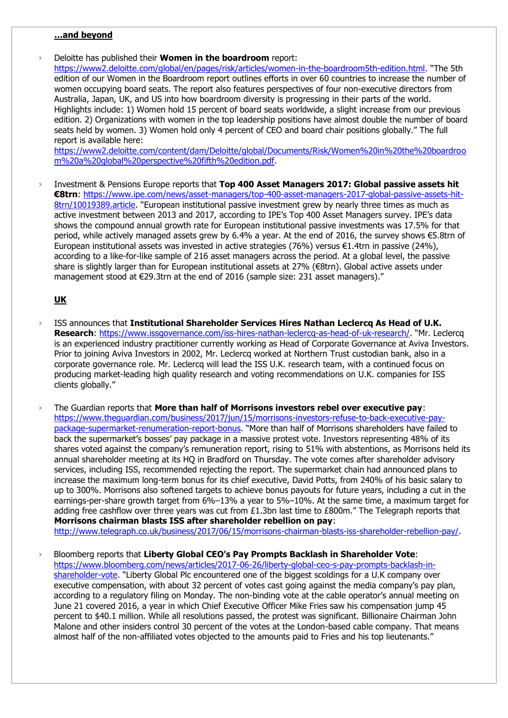#### **…and beyond**

› Deloitte has published their **Women in the boardroom** report:

<https://www2.deloitte.com/global/en/pages/risk/articles/women-in-the-boardroom5th-edition.html>. "The 5th edition of our Women in the Boardroom report outlines efforts in over 60 countries to increase the number of women occupying board seats. The report also features perspectives of four non-executive directors from Australia, Japan, UK, and US into how boardroom diversity is progressing in their parts of the world. Highlights include: 1) Women hold 15 percent of board seats worldwide, a slight increase from our previous edition. 2) Organizations with women in the top leadership positions have almost double the number of board seats held by women. 3) Women hold only 4 percent of CEO and board chair positions globally." The full report is available here:

[https://www2.deloitte.com/content/dam/Deloitte/global/Documents/Risk/Women%20in%20the%20boardroo](https://www2.deloitte.com/content/dam/Deloitte/global/Documents/Risk/Women%20in%20the%20boardroom%20a%20global%20perspective%20fifth%20edition.pdf) [m%20a%20global%20perspective%20fifth%20edition.pdf.](https://www2.deloitte.com/content/dam/Deloitte/global/Documents/Risk/Women%20in%20the%20boardroom%20a%20global%20perspective%20fifth%20edition.pdf)

› Investment & Pensions Europe reports that **Top 400 Asset Managers 2017: Global passive assets hit €8trn**: [https://www.ipe.com/news/asset-managers/top-400-asset-managers-2017-global-passive-assets-hit-](https://www.ipe.com/news/asset-managers/top-400-asset-managers-2017-global-passive-assets-hit-8trn/10019389.article)[8trn/10019389.article](https://www.ipe.com/news/asset-managers/top-400-asset-managers-2017-global-passive-assets-hit-8trn/10019389.article). "European institutional passive investment grew by nearly three times as much as active investment between 2013 and 2017, according to IPE's Top 400 Asset Managers survey. IPE's data shows the compound annual growth rate for European institutional passive investments was 17.5% for that period, while actively managed assets grew by 6.4% a year. At the end of 2016, the survey shows €5.8trn of European institutional assets was invested in active strategies (76%) versus €1.4trn in passive (24%), according to a like-for-like sample of 216 asset managers across the period. At a global level, the passive share is slightly larger than for European institutional assets at 27% (€8trn). Global active assets under management stood at €29.3trn at the end of 2016 (sample size: 231 asset managers)."

#### **UK**

- › ISS announces that **Institutional Shareholder Services Hires Nathan Leclercq As Head of U.K. Research**:<https://www.issgovernance.com/iss-hires-nathan-leclercq-as-head-of-uk-research/>. "Mr. Leclercq is an experienced industry practitioner currently working as Head of Corporate Governance at Aviva Investors. Prior to joining Aviva Investors in 2002, Mr. Leclercq worked at Northern Trust custodian bank, also in a corporate governance role. Mr. Leclercq will lead the ISS U.K. research team, with a continued focus on producing market-leading high quality research and voting recommendations on U.K. companies for ISS clients globally."
- › The Guardian reports that **More than half of Morrisons investors rebel over executive pay**: [https://www.theguardian.com/business/2017/jun/15/morrisons-investors-refuse-to-back-executive-pay](https://www.theguardian.com/business/2017/jun/15/morrisons-investors-refuse-to-back-executive-pay-package-supermarket-renumeration-report-bonus)[package-supermarket-renumeration-report-bonus](https://www.theguardian.com/business/2017/jun/15/morrisons-investors-refuse-to-back-executive-pay-package-supermarket-renumeration-report-bonus). "More than half of Morrisons shareholders have failed to back the supermarket's bosses' pay package in a massive protest vote. Investors representing 48% of its shares voted against the company's remuneration report, rising to 51% with abstentions, as Morrisons held its annual shareholder meeting at its HQ in Bradford on Thursday. The vote comes after shareholder advisory services, including ISS, recommended rejecting the report. The supermarket chain had announced plans to increase the maximum long-term bonus for its chief executive, David Potts, from 240% of his basic salary to up to 300%. Morrisons also softened targets to achieve bonus payouts for future years, including a cut in the earnings-per-share growth target from 6%–13% a year to 5%–10%. At the same time, a maximum target for adding free cashflow over three years was cut from £1.3bn last time to £800m." The Telegraph reports that **Morrisons chairman blasts ISS after shareholder rebellion on pay**:

[http://www.telegraph.co.uk/business/2017/06/15/morrisons-chairman-blasts-iss-shareholder-rebellion-pay/.](http://www.telegraph.co.uk/business/2017/06/15/morrisons-chairman-blasts-iss-shareholder-rebellion-pay/)

› Bloomberg reports that **Liberty Global CEO's Pay Prompts Backlash in Shareholder Vote**: [https://www.bloomberg.com/news/articles/2017-06-26/liberty-global-ceo-s-pay-prompts-backlash-in](https://www.bloomberg.com/news/articles/2017-06-26/liberty-global-ceo-s-pay-prompts-backlash-in-shareholder-vote)[shareholder-vote](https://www.bloomberg.com/news/articles/2017-06-26/liberty-global-ceo-s-pay-prompts-backlash-in-shareholder-vote). "Liberty Global Plc encountered one of the biggest scoldings for a U.K company over executive compensation, with about 32 percent of votes cast going against the media company's pay plan, according to a regulatory filing on Monday. The non-binding vote at the cable operator's annual meeting on June 21 covered 2016, a year in which Chief Executive Officer Mike Fries saw his compensation jump 45 percent to \$40.1 million. While all resolutions passed, the protest was significant. Billionaire Chairman John Malone and other insiders control 30 percent of the votes at the London-based cable company. That means almost half of the non-affiliated votes objected to the amounts paid to Fries and his top lieutenants."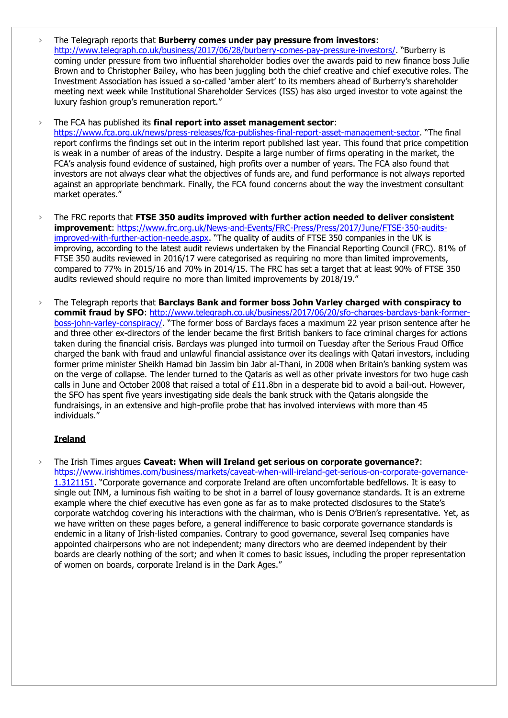› The Telegraph reports that **Burberry comes under pay pressure from investors**: <http://www.telegraph.co.uk/business/2017/06/28/burberry-comes-pay-pressure-investors/>. "Burberry is coming under pressure from two influential shareholder bodies over the awards paid to new finance boss Julie Brown and to Christopher Bailey, who has been juggling both the chief creative and chief executive roles. The Investment Association has issued a so-called 'amber alert' to its members ahead of Burberry's shareholder meeting next week while Institutional Shareholder Services (ISS) has also urged investor to vote against the luxury fashion group's remuneration report."

› The FCA has published its **final report into asset management sector**:

<https://www.fca.org.uk/news/press-releases/fca-publishes-final-report-asset-management-sector>. "The final report confirms the findings set out in the interim report published last year. This found that price competition is weak in a number of areas of the industry. Despite a large number of firms operating in the market, the FCA's analysis found evidence of sustained, high profits over a number of years. The FCA also found that investors are not always clear what the objectives of funds are, and fund performance is not always reported against an appropriate benchmark. Finally, the FCA found concerns about the way the investment consultant market operates."

- › The FRC reports that **FTSE 350 audits improved with further action needed to deliver consistent improvement**: [https://www.frc.org.uk/News-and-Events/FRC-Press/Press/2017/June/FTSE-350-audits](https://www.frc.org.uk/News-and-Events/FRC-Press/Press/2017/June/FTSE-350-audits-improved-with-further-action-neede.aspx)[improved-with-further-action-neede.aspx](https://www.frc.org.uk/News-and-Events/FRC-Press/Press/2017/June/FTSE-350-audits-improved-with-further-action-neede.aspx). "The quality of audits of FTSE 350 companies in the UK is improving, according to the latest audit reviews undertaken by the Financial Reporting Council (FRC). 81% of FTSE 350 audits reviewed in 2016/17 were categorised as requiring no more than limited improvements, compared to 77% in 2015/16 and 70% in 2014/15. The FRC has set a target that at least 90% of FTSE 350 audits reviewed should require no more than limited improvements by 2018/19."
- › The Telegraph reports that **Barclays Bank and former boss John Varley charged with conspiracy to commit fraud by SFO**: [http://www.telegraph.co.uk/business/2017/06/20/sfo-charges-barclays-bank-former](http://www.telegraph.co.uk/business/2017/06/20/sfo-charges-barclays-bank-former-boss-john-varley-conspiracy/)[boss-john-varley-conspiracy/](http://www.telegraph.co.uk/business/2017/06/20/sfo-charges-barclays-bank-former-boss-john-varley-conspiracy/). "The former boss of Barclays faces a maximum 22 year prison sentence after he and three other ex-directors of the lender became the first British bankers to face criminal charges for actions taken during the financial crisis. Barclays was plunged into turmoil on Tuesday after the Serious Fraud Office charged the bank with fraud and unlawful financial assistance over its dealings with Qatari investors, including former prime minister Sheikh Hamad bin Jassim bin Jabr al-Thani, in 2008 when Britain's banking system was on the verge of collapse. The lender turned to the Qataris as well as other private investors for two huge cash calls in June and October 2008 that raised a total of £11.8bn in a desperate bid to avoid a bail-out. However, the SFO has spent five years investigating side deals the bank struck with the Qataris alongside the fundraisings, in an extensive and high-profile probe that has involved interviews with more than 45 individuals."

# **Ireland**

› The Irish Times argues **Caveat: When will Ireland get serious on corporate governance?**: [https://www.irishtimes.com/business/markets/caveat-when-will-ireland-get-serious-on-corporate-governance-](https://www.irishtimes.com/business/markets/caveat-when-will-ireland-get-serious-on-corporate-governance-1.3121151)[1.3121151](https://www.irishtimes.com/business/markets/caveat-when-will-ireland-get-serious-on-corporate-governance-1.3121151). "Corporate governance and corporate Ireland are often uncomfortable bedfellows. It is easy to single out INM, a luminous fish waiting to be shot in a barrel of lousy governance standards. It is an extreme example where the chief executive has even gone as far as to make protected disclosures to the State's corporate watchdog covering his interactions with the chairman, who is Denis O'Brien's representative. Yet, as we have written on these pages before, a general indifference to basic corporate governance standards is endemic in a litany of Irish-listed companies. Contrary to good governance, several Iseq companies have appointed chairpersons who are not independent; many directors who are deemed independent by their boards are clearly nothing of the sort; and when it comes to basic issues, including the proper representation of women on boards, corporate Ireland is in the Dark Ages."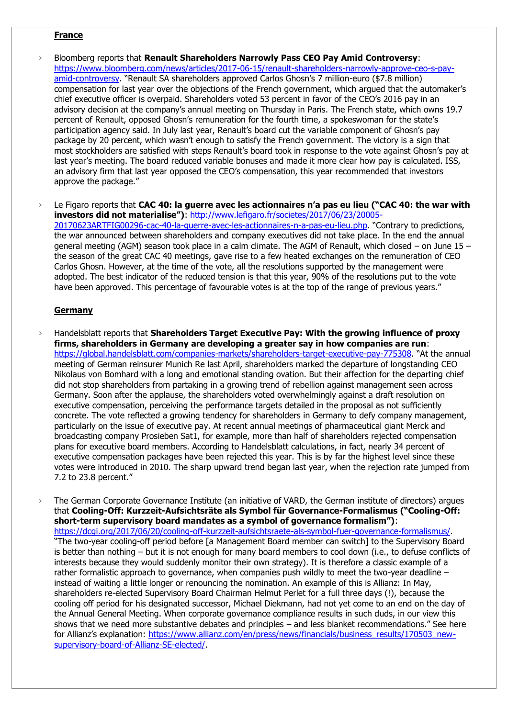#### **France**

- › Bloomberg reports that **Renault Shareholders Narrowly Pass CEO Pay Amid Controversy**: [https://www.bloomberg.com/news/articles/2017-06-15/renault-shareholders-narrowly-approve-ceo-s-pay](https://www.bloomberg.com/news/articles/2017-06-15/renault-shareholders-narrowly-approve-ceo-s-pay-amid-controversy)[amid-controversy](https://www.bloomberg.com/news/articles/2017-06-15/renault-shareholders-narrowly-approve-ceo-s-pay-amid-controversy). "Renault SA shareholders approved Carlos Ghosn's 7 million-euro (\$7.8 million) compensation for last year over the objections of the French government, which argued that the automaker's chief executive officer is overpaid. Shareholders voted 53 percent in favor of the CEO's 2016 pay in an advisory decision at the company's annual meeting on Thursday in Paris. The French state, which owns 19.7 percent of Renault, opposed Ghosn's remuneration for the fourth time, a spokeswoman for the state's participation agency said. In July last year, Renault's board cut the variable component of Ghosn's pay package by 20 percent, which wasn't enough to satisfy the French government. The victory is a sign that most stockholders are satisfied with steps Renault's board took in response to the vote against Ghosn's pay at last year's meeting. The board reduced variable bonuses and made it more clear how pay is calculated. ISS, an advisory firm that last year opposed the CEO's compensation, this year recommended that investors approve the package."
- Le Figaro reports that **CAC 40: la guerre avec les actionnaires n'a pas eu lieu ("CAC 40: the war with investors did not materialise")**: [http://www.lefigaro.fr/societes/2017/06/23/20005-](http://www.lefigaro.fr/societes/2017/06/23/20005-20170623ARTFIG00296-cac-40-la-guerre-avec-les-actionnaires-n-a-pas-eu-lieu.php) [20170623ARTFIG00296-cac-40-la-guerre-avec-les-actionnaires-n-a-pas-eu-lieu.php.](http://www.lefigaro.fr/societes/2017/06/23/20005-20170623ARTFIG00296-cac-40-la-guerre-avec-les-actionnaires-n-a-pas-eu-lieu.php) "Contrary to predictions, the war announced between shareholders and company executives did not take place. In the end the annual general meeting (AGM) season took place in a calm climate. The AGM of Renault, which closed – on June 15 – the season of the great CAC 40 meetings, gave rise to a few heated exchanges on the remuneration of CEO Carlos Ghosn. However, at the time of the vote, all the resolutions supported by the management were adopted. The best indicator of the reduced tension is that this year, 90% of the resolutions put to the vote have been approved. This percentage of favourable votes is at the top of the range of previous years."

#### **Germany**

› Handelsblatt reports that **Shareholders Target Executive Pay: With the growing influence of proxy firms, shareholders in Germany are developing a greater say in how companies are run**: <https://global.handelsblatt.com/companies-markets/shareholders-target-executive-pay-775308>. "At the annual meeting of German reinsurer Munich Re last April, shareholders marked the departure of longstanding CEO Nikolaus von Bomhard with a long and emotional standing ovation. But their affection for the departing chief did not stop shareholders from partaking in a growing trend of rebellion against management seen across Germany. Soon after the applause, the shareholders voted overwhelmingly against a draft resolution on executive compensation, perceiving the performance targets detailed in the proposal as not sufficiently concrete. The vote reflected a growing tendency for shareholders in Germany to defy company management, particularly on the issue of executive pay. At recent annual meetings of pharmaceutical giant Merck and broadcasting company Prosieben Sat1, for example, more than half of shareholders rejected compensation plans for executive board members. According to Handelsblatt calculations, in fact, nearly 34 percent of executive compensation packages have been rejected this year. This is by far the highest level since these votes were introduced in 2010. The sharp upward trend began last year, when the rejection rate jumped from 7.2 to 23.8 percent."

› The German Corporate Governance Institute (an initiative of VARD, the German institute of directors) argues that **Cooling-Off: Kurzzeit-Aufsichtsräte als Symbol für Governance-Formalismus ("Cooling-Off: short-term supervisory board mandates as a symbol of governance formalism")**: [https://dcgi.org/2017/06/20/cooling-off-kurzzeit-aufsichtsraete-als-symbol-fuer-governance-formalismus/.](https://dcgi.org/2017/06/20/cooling-off-kurzzeit-aufsichtsraete-als-symbol-fuer-governance-formalismus/) "The two-year cooling-off period before [a Management Board member can switch] to the Supervisory Board is better than nothing – but it is not enough for many board members to cool down (i.e., to defuse conflicts of interests because they would suddenly monitor their own strategy). It is therefore a classic example of a rather formalistic approach to governance, when companies push wildly to meet the two-year deadline – instead of waiting a little longer or renouncing the nomination. An example of this is Allianz: In May, shareholders re-elected Supervisory Board Chairman Helmut Perlet for a full three days (!), because the cooling off period for his designated successor, Michael Diekmann, had not yet come to an end on the day of the Annual General Meeting. When corporate governance compliance results in such duds, in our view this shows that we need more substantive debates and principles – and less blanket recommendations." See here for Allianz's explanation: [https://www.allianz.com/en/press/news/financials/business\\_results/170503\\_new](https://www.allianz.com/en/press/news/financials/business_results/170503_new-supervisory-board-of-Allianz-SE-elected/)[supervisory-board-of-Allianz-SE-elected/.](https://www.allianz.com/en/press/news/financials/business_results/170503_new-supervisory-board-of-Allianz-SE-elected/)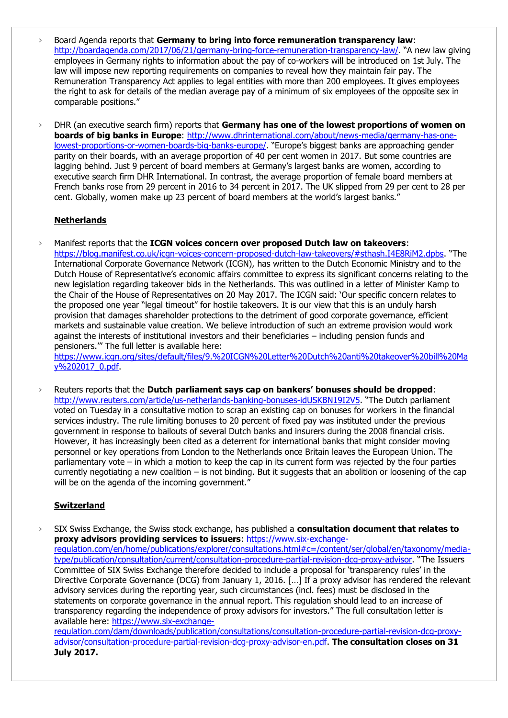- › Board Agenda reports that **Germany to bring into force remuneration transparency law**: <http://boardagenda.com/2017/06/21/germany-bring-force-remuneration-transparency-law/>. "A new law giving employees in Germany rights to information about the pay of co-workers will be introduced on 1st July. The law will impose new reporting requirements on companies to reveal how they maintain fair pay. The Remuneration Transparency Act applies to legal entities with more than 200 employees. It gives employees the right to ask for details of the median average pay of a minimum of six employees of the opposite sex in comparable positions."
- › DHR (an executive search firm) reports that **Germany has one of the lowest proportions of women on boards of big banks in Europe**: [http://www.dhrinternational.com/about/news-media/germany-has-one](http://www.dhrinternational.com/about/news-media/germany-has-one-lowest-proportions-or-women-boards-big-banks-europe/)[lowest-proportions-or-women-boards-big-banks-europe/](http://www.dhrinternational.com/about/news-media/germany-has-one-lowest-proportions-or-women-boards-big-banks-europe/). "Europe's biggest banks are approaching gender parity on their boards, with an average proportion of 40 per cent women in 2017. But some countries are lagging behind. Just 9 percent of board members at Germany's largest banks are women, according to executive search firm DHR International. In contrast, the average proportion of female board members at French banks rose from 29 percent in 2016 to 34 percent in 2017. The UK slipped from 29 per cent to 28 per cent. Globally, women make up 23 percent of board members at the world's largest banks."

### **Netherlands**

› Manifest reports that the **ICGN voices concern over proposed Dutch law on takeovers**: <https://blog.manifest.co.uk/icgn-voices-concern-proposed-dutch-law-takeovers/#sthash.I4E8RiM2.dpbs>. "The International Corporate Governance Network (ICGN), has written to the Dutch Economic Ministry and to the Dutch House of Representative's economic affairs committee to express its significant concerns relating to the new legislation regarding takeover bids in the Netherlands. This was outlined in a letter of Minister Kamp to the Chair of the House of Representatives on 20 May 2017. The ICGN said: 'Our specific concern relates to the proposed one year "legal timeout" for hostile takeovers. It is our view that this is an unduly harsh provision that damages shareholder protections to the detriment of good corporate governance, efficient markets and sustainable value creation. We believe introduction of such an extreme provision would work against the interests of institutional investors and their beneficiaries – including pension funds and pensioners.'" The full letter is available here:

[https://www.icgn.org/sites/default/files/9.%20ICGN%20Letter%20Dutch%20anti%20takeover%20bill%20Ma](https://www.icgn.org/sites/default/files/9.%20ICGN%20Letter%20Dutch%20anti%20takeover%20bill%20May%202017_0.pdf) [y%202017\\_0.pdf.](https://www.icgn.org/sites/default/files/9.%20ICGN%20Letter%20Dutch%20anti%20takeover%20bill%20May%202017_0.pdf)

› Reuters reports that the **Dutch parliament says cap on bankers' bonuses should be dropped**: <http://www.reuters.com/article/us-netherlands-banking-bonuses-idUSKBN19I2V5>. "The Dutch parliament voted on Tuesday in a consultative motion to scrap an existing cap on bonuses for workers in the financial services industry. The rule limiting bonuses to 20 percent of fixed pay was instituted under the previous government in response to bailouts of several Dutch banks and insurers during the 2008 financial crisis. However, it has increasingly been cited as a deterrent for international banks that might consider moving personnel or key operations from London to the Netherlands once Britain leaves the European Union. The parliamentary vote – in which a motion to keep the cap in its current form was rejected by the four parties currently negotiating a new coalition – is not binding. But it suggests that an abolition or loosening of the cap will be on the agenda of the incoming government."

# **Switzerland**

› SIX Swiss Exchange, the Swiss stock exchange, has published a **consultation document that relates to proxy advisors providing services to issuers**: [https://www.six-exchange](https://www.six-exchange-regulation.com/en/home/publications/explorer/consultations.html#c=/content/ser/global/en/taxonomy/media-type/publication/consultation/current/consultation-procedure-partial-revision-dcg-proxy-advisor)[regulation.com/en/home/publications/explorer/consultations.html#c=/content/ser/global/en/taxonomy/media](https://www.six-exchange-regulation.com/en/home/publications/explorer/consultations.html#c=/content/ser/global/en/taxonomy/media-type/publication/consultation/current/consultation-procedure-partial-revision-dcg-proxy-advisor)[type/publication/consultation/current/consultation-procedure-partial-revision-dcg-proxy-advisor](https://www.six-exchange-regulation.com/en/home/publications/explorer/consultations.html#c=/content/ser/global/en/taxonomy/media-type/publication/consultation/current/consultation-procedure-partial-revision-dcg-proxy-advisor). "The Issuers Committee of SIX Swiss Exchange therefore decided to include a proposal for 'transparency rules' in the Directive Corporate Governance (DCG) from January 1, 2016. […] If a proxy advisor has rendered the relevant advisory services during the reporting year, such circumstances (incl. fees) must be disclosed in the statements on corporate governance in the annual report. This regulation should lead to an increase of transparency regarding the independence of proxy advisors for investors." The full consultation letter is available here: [https://www.six-exchange-](https://www.six-exchange-regulation.com/dam/downloads/publication/consultations/consultation-procedure-partial-revision-dcg-proxy-advisor/consultation-procedure-partial-revision-dcg-proxy-advisor-en.pdf)

[regulation.com/dam/downloads/publication/consultations/consultation-procedure-partial-revision-dcg-proxy](https://www.six-exchange-regulation.com/dam/downloads/publication/consultations/consultation-procedure-partial-revision-dcg-proxy-advisor/consultation-procedure-partial-revision-dcg-proxy-advisor-en.pdf)[advisor/consultation-procedure-partial-revision-dcg-proxy-advisor-en.pdf.](https://www.six-exchange-regulation.com/dam/downloads/publication/consultations/consultation-procedure-partial-revision-dcg-proxy-advisor/consultation-procedure-partial-revision-dcg-proxy-advisor-en.pdf) **The consultation closes on 31 July 2017.**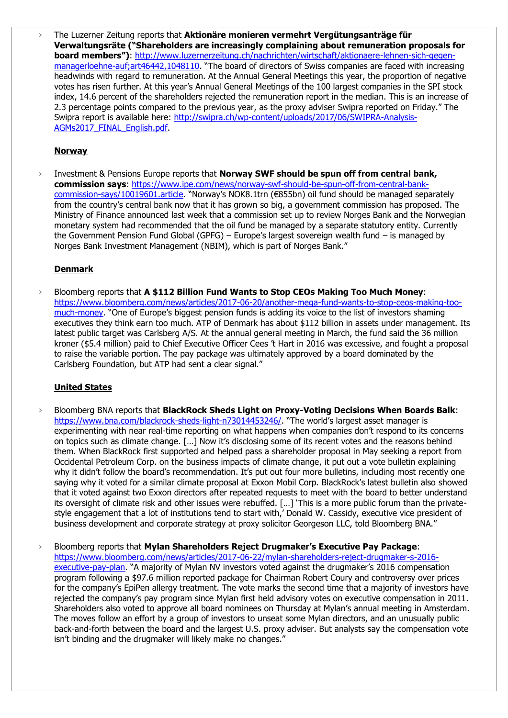› The Luzerner Zeitung reports that **Aktionäre monieren vermehrt Vergütungsanträge für Verwaltungsräte ("Shareholders are increasingly complaining about remuneration proposals for board members")**: [http://www.luzernerzeitung.ch/nachrichten/wirtschaft/aktionaere-lehnen-sich-gegen](http://www.luzernerzeitung.ch/nachrichten/wirtschaft/aktionaere-lehnen-sich-gegen-managerloehne-auf;art46442,1048110)[managerloehne-auf;art46442,1048110](http://www.luzernerzeitung.ch/nachrichten/wirtschaft/aktionaere-lehnen-sich-gegen-managerloehne-auf;art46442,1048110). "The board of directors of Swiss companies are faced with increasing headwinds with regard to remuneration. At the Annual General Meetings this year, the proportion of negative votes has risen further. At this year's Annual General Meetings of the 100 largest companies in the SPI stock index, 14.6 percent of the shareholders rejected the remuneration report in the median. This is an increase of 2.3 percentage points compared to the previous year, as the proxy adviser Swipra reported on Friday." The Swipra report is available here: [http://swipra.ch/wp-content/uploads/2017/06/SWIPRA-Analysis-](http://swipra.ch/wp-content/uploads/2017/06/SWIPRA-Analysis-AGMs2017_FINAL_English.pdf)[AGMs2017\\_FINAL\\_English.pdf.](http://swipra.ch/wp-content/uploads/2017/06/SWIPRA-Analysis-AGMs2017_FINAL_English.pdf)

### **Norway**

› Investment & Pensions Europe reports that **Norway SWF should be spun off from central bank, commission says**: [https://www.ipe.com/news/norway-swf-should-be-spun-off-from-central-bank](https://www.ipe.com/news/norway-swf-should-be-spun-off-from-central-bank-commission-says/10019601.article)[commission-says/10019601.article](https://www.ipe.com/news/norway-swf-should-be-spun-off-from-central-bank-commission-says/10019601.article). "Norway's NOK8.1trn (€855bn) oil fund should be managed separately from the country's central bank now that it has grown so big, a government commission has proposed. The Ministry of Finance announced last week that a commission set up to review Norges Bank and the Norwegian monetary system had recommended that the oil fund be managed by a separate statutory entity. Currently the Government Pension Fund Global (GPFG) – Europe's largest sovereign wealth fund – is managed by Norges Bank Investment Management (NBIM), which is part of Norges Bank."

### **Denmark**

› Bloomberg reports that **A \$112 Billion Fund Wants to Stop CEOs Making Too Much Money**: [https://www.bloomberg.com/news/articles/2017-06-20/another-mega-fund-wants-to-stop-ceos-making-too](https://www.bloomberg.com/news/articles/2017-06-20/another-mega-fund-wants-to-stop-ceos-making-too-much-money)[much-money](https://www.bloomberg.com/news/articles/2017-06-20/another-mega-fund-wants-to-stop-ceos-making-too-much-money). "One of Europe's biggest pension funds is adding its voice to the list of investors shaming executives they think earn too much. ATP of Denmark has about \$112 billion in assets under management. Its latest public target was Carlsberg A/S. At the annual general meeting in March, the fund said the 36 million kroner (\$5.4 million) paid to Chief Executive Officer Cees 't Hart in 2016 was excessive, and fought a proposal to raise the variable portion. The pay package was ultimately approved by a board dominated by the Carlsberg Foundation, but ATP had sent a clear signal."

### **United States**

- › Bloomberg BNA reports that **BlackRock Sheds Light on Proxy-Voting Decisions When Boards Balk**: <https://www.bna.com/blackrock-sheds-light-n73014453246/>. "The world's largest asset manager is experimenting with near real-time reporting on what happens when companies don't respond to its concerns on topics such as climate change. […] Now it's disclosing some of its recent votes and the reasons behind them. When BlackRock first supported and helped pass a shareholder proposal in May seeking a report from Occidental Petroleum Corp. on the business impacts of climate change, it put out a vote bulletin explaining why it didn't follow the board's recommendation. It's put out four more bulletins, including most recently one saying why it voted for a similar climate proposal at Exxon Mobil Corp. BlackRock's latest bulletin also showed that it voted against two Exxon directors after repeated requests to meet with the board to better understand its oversight of climate risk and other issues were rebuffed. […] 'This is a more public forum than the privatestyle engagement that a lot of institutions tend to start with,' Donald W. Cassidy, executive vice president of business development and corporate strategy at proxy solicitor Georgeson LLC, told Bloomberg BNA."
- › Bloomberg reports that **Mylan Shareholders Reject Drugmaker's Executive Pay Package**: [https://www.bloomberg.com/news/articles/2017-06-22/mylan-shareholders-reject-drugmaker-s-2016](https://www.bloomberg.com/news/articles/2017-06-22/mylan-shareholders-reject-drugmaker-s-2016-executive-pay-plan) [executive-pay-plan.](https://www.bloomberg.com/news/articles/2017-06-22/mylan-shareholders-reject-drugmaker-s-2016-executive-pay-plan) "A majority of Mylan NV investors voted against the drugmaker's 2016 compensation program following a \$97.6 million reported package for Chairman Robert Coury and controversy over prices for the company's EpiPen allergy treatment. The vote marks the second time that a majority of investors have rejected the company's pay program since Mylan first held advisory votes on executive compensation in 2011. Shareholders also voted to approve all board nominees on Thursday at Mylan's annual meeting in Amsterdam. The moves follow an effort by a group of investors to unseat some Mylan directors, and an unusually public back-and-forth between the board and the largest U.S. proxy adviser. But analysts say the compensation vote isn't binding and the drugmaker will likely make no changes."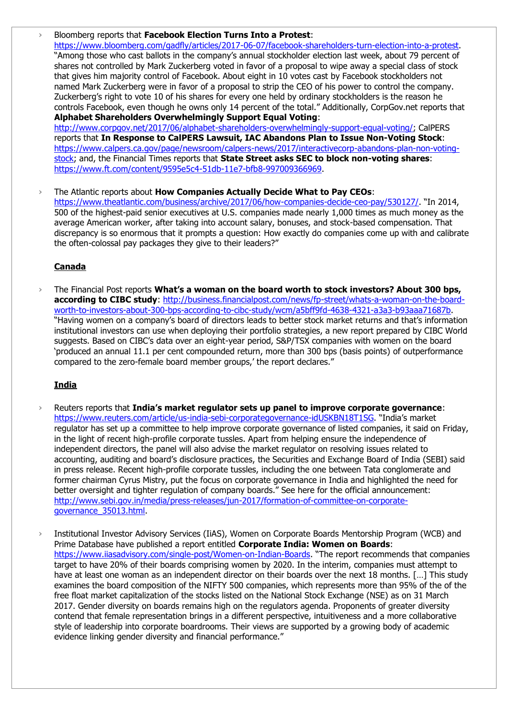› Bloomberg reports that **Facebook Election Turns Into a Protest**: [https://www.bloomberg.com/gadfly/articles/2017-06-07/facebook-shareholders-turn-election-into-a-protest.](https://www.bloomberg.com/gadfly/articles/2017-06-07/facebook-shareholders-turn-election-into-a-protest) "Among those who cast ballots in the company's annual stockholder election last week, about 79 percent of shares not controlled by Mark Zuckerberg voted in favor of a proposal to wipe away a special class of stock that gives him majority control of Facebook. About eight in 10 votes cast by Facebook stockholders not named Mark Zuckerberg were in favor of a proposal to strip the CEO of his power to control the company. Zuckerberg's right to vote 10 of his shares for every one held by ordinary stockholders is the reason he controls Facebook, even though he owns only 14 percent of the total." Additionally, CorpGov.net reports that **Alphabet Shareholders Overwhelmingly Support Equal Voting**: [http://www.corpgov.net/2017/06/alphabet-shareholders-overwhelmingly-support-equal-voting/;](http://www.corpgov.net/2017/06/alphabet-shareholders-overwhelmingly-support-equal-voting/) CalPERS reports that **In Response to CalPERS Lawsuit, IAC Abandons Plan to Issue Non-Voting Stock**: [https://www.calpers.ca.gov/page/newsroom/calpers-news/2017/interactivecorp-abandons-plan-non-voting](https://www.calpers.ca.gov/page/newsroom/calpers-news/2017/interactivecorp-abandons-plan-non-voting-stock)[stock;](https://www.calpers.ca.gov/page/newsroom/calpers-news/2017/interactivecorp-abandons-plan-non-voting-stock) and, the Financial Times reports that **State Street asks SEC to block non-voting shares**: [https://www.ft.com/content/9595e5c4-51db-11e7-bfb8-997009366969.](https://www.ft.com/content/9595e5c4-51db-11e7-bfb8-997009366969)

› The Atlantic reports about **How Companies Actually Decide What to Pay CEOs**: <https://www.theatlantic.com/business/archive/2017/06/how-companies-decide-ceo-pay/530127/>. "In 2014, 500 of the highest-paid senior executives at U.S. companies made nearly 1,000 times as much money as the average American worker, after taking into account salary, bonuses, and stock-based compensation. That discrepancy is so enormous that it prompts a question: How exactly do companies come up with and calibrate the often-colossal pay packages they give to their leaders?"

### **Canada**

› The Financial Post reports **What's a woman on the board worth to stock investors? About 300 bps, according to CIBC study**: [http://business.financialpost.com/news/fp-street/whats-a-woman-on-the-board](http://business.financialpost.com/news/fp-street/whats-a-woman-on-the-board-worth-to-investors-about-300-bps-according-to-cibc-study/wcm/a5bff9fd-4638-4321-a3a3-b93aaa71687b)[worth-to-investors-about-300-bps-according-to-cibc-study/wcm/a5bff9fd-4638-4321-a3a3-b93aaa71687b.](http://business.financialpost.com/news/fp-street/whats-a-woman-on-the-board-worth-to-investors-about-300-bps-according-to-cibc-study/wcm/a5bff9fd-4638-4321-a3a3-b93aaa71687b) "Having women on a company's board of directors leads to better stock market returns and that's information institutional investors can use when deploying their portfolio strategies, a new report prepared by CIBC World suggests. Based on CIBC's data over an eight-year period, S&P/TSX companies with women on the board 'produced an annual 11.1 per cent compounded return, more than 300 bps (basis points) of outperformance compared to the zero-female board member groups,' the report declares."

#### **India**

- › Reuters reports that **India's market regulator sets up panel to improve corporate governance**: <https://www.reuters.com/article/us-india-sebi-corporategovernance-idUSKBN18T1SG>. "India's market regulator has set up a committee to help improve corporate governance of listed companies, it said on Friday, in the light of recent high-profile corporate tussles. Apart from helping ensure the independence of independent directors, the panel will also advise the market regulator on resolving issues related to accounting, auditing and board's disclosure practices, the Securities and Exchange Board of India (SEBI) said in press release. Recent high-profile corporate tussles, including the one between Tata conglomerate and former chairman Cyrus Mistry, put the focus on corporate governance in India and highlighted the need for better oversight and tighter regulation of company boards." See here for the official announcement: [http://www.sebi.gov.in/media/press-releases/jun-2017/formation-of-committee-on-corporate](http://www.sebi.gov.in/media/press-releases/jun-2017/formation-of-committee-on-corporate-governance_35013.html)[governance\\_35013.html.](http://www.sebi.gov.in/media/press-releases/jun-2017/formation-of-committee-on-corporate-governance_35013.html)
- › Institutional Investor Advisory Services (IiAS), Women on Corporate Boards Mentorship Program (WCB) and Prime Database have published a report entitled **Corporate India: Women on Boards**: <https://www.iiasadvisory.com/single-post/Women-on-Indian-Boards>. "The report recommends that companies target to have 20% of their boards comprising women by 2020. In the interim, companies must attempt to have at least one woman as an independent director on their boards over the next 18 months. [...] This study examines the board composition of the NIFTY 500 companies, which represents more than 95% of the of the free float market capitalization of the stocks listed on the National Stock Exchange (NSE) as on 31 March 2017. Gender diversity on boards remains high on the regulators agenda. Proponents of greater diversity contend that female representation brings in a different perspective, intuitiveness and a more collaborative style of leadership into corporate boardrooms. Their views are supported by a growing body of academic evidence linking gender diversity and financial performance."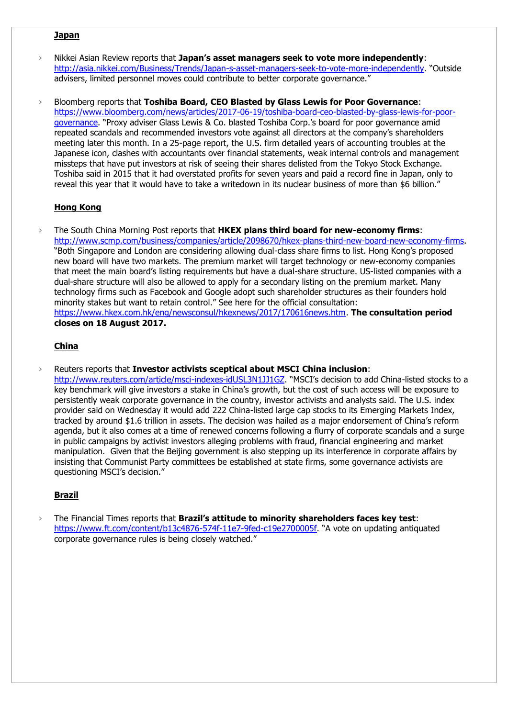#### **Japan**

- › Nikkei Asian Review reports that **Japan's asset managers seek to vote more independently**: <http://asia.nikkei.com/Business/Trends/Japan-s-asset-managers-seek-to-vote-more-independently>. "Outside advisers, limited personnel moves could contribute to better corporate governance."
- › Bloomberg reports that **Toshiba Board, CEO Blasted by Glass Lewis for Poor Governance**: [https://www.bloomberg.com/news/articles/2017-06-19/toshiba-board-ceo-blasted-by-glass-lewis-for-poor](https://www.bloomberg.com/news/articles/2017-06-19/toshiba-board-ceo-blasted-by-glass-lewis-for-poor-governance)[governance](https://www.bloomberg.com/news/articles/2017-06-19/toshiba-board-ceo-blasted-by-glass-lewis-for-poor-governance). "Proxy adviser Glass Lewis & Co. blasted Toshiba Corp.'s board for poor governance amid repeated scandals and recommended investors vote against all directors at the company's shareholders meeting later this month. In a 25-page report, the U.S. firm detailed years of accounting troubles at the Japanese icon, clashes with accountants over financial statements, weak internal controls and management missteps that have put investors at risk of seeing their shares delisted from the Tokyo Stock Exchange. Toshiba said in 2015 that it had overstated profits for seven years and paid a record fine in Japan, only to reveal this year that it would have to take a writedown in its nuclear business of more than \$6 billion."

#### **Hong Kong**

› The South China Morning Post reports that **HKEX plans third board for new-economy firms**: [http://www.scmp.com/business/companies/article/2098670/hkex-plans-third-new-board-new-economy-firms.](http://www.scmp.com/business/companies/article/2098670/hkex-plans-third-new-board-new-economy-firms) "Both Singapore and London are considering allowing dual-class share firms to list. Hong Kong's proposed new board will have two markets. The premium market will target technology or new-economy companies that meet the main board's listing requirements but have a dual-share structure. US-listed companies with a dual-share structure will also be allowed to apply for a secondary listing on the premium market. Many technology firms such as Facebook and Google adopt such shareholder structures as their founders hold minority stakes but want to retain control." See here for the official consultation: [https://www.hkex.com.hk/eng/newsconsul/hkexnews/2017/170616news.htm.](https://www.hkex.com.hk/eng/newsconsul/hkexnews/2017/170616news.htm) **The consultation period closes on 18 August 2017.** 

#### **China**

› Reuters reports that **Investor activists sceptical about MSCI China inclusion**:

<http://www.reuters.com/article/msci-indexes-idUSL3N1JJ1GZ>. "MSCI's decision to add China-listed stocks to a key benchmark will give investors a stake in China's growth, but the cost of such access will be exposure to persistently weak corporate governance in the country, investor activists and analysts said. The U.S. index provider said on Wednesday it would add 222 China-listed large cap stocks to its Emerging Markets Index, tracked by around \$1.6 trillion in assets. The decision was hailed as a major endorsement of China's reform agenda, but it also comes at a time of renewed concerns following a flurry of corporate scandals and a surge in public campaigns by activist investors alleging problems with fraud, financial engineering and market manipulation. Given that the Beijing government is also stepping up its interference in corporate affairs by insisting that Communist Party committees be established at state firms, some governance activists are questioning MSCI's decision."

### **Brazil**

› The Financial Times reports that **Brazil's attitude to minority shareholders faces key test**: <https://www.ft.com/content/b13c4876-574f-11e7-9fed-c19e2700005f>. "A vote on updating antiquated corporate governance rules is being closely watched."